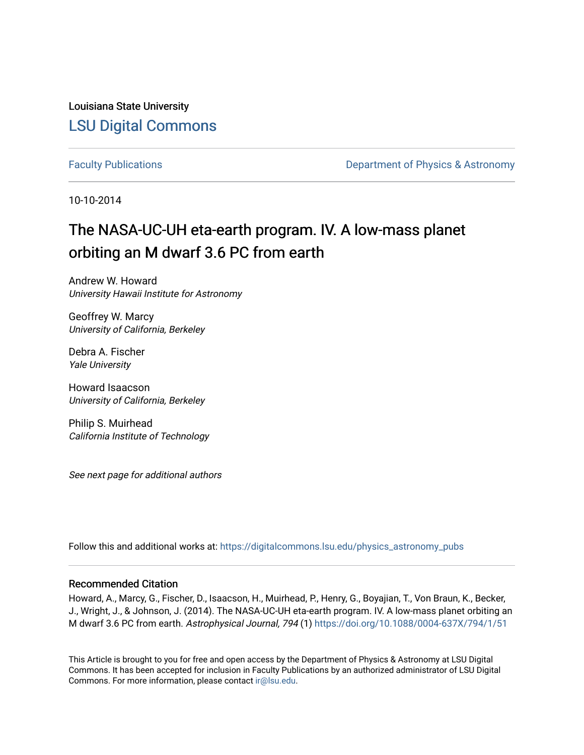Louisiana State University [LSU Digital Commons](https://digitalcommons.lsu.edu/)

[Faculty Publications](https://digitalcommons.lsu.edu/physics_astronomy_pubs) **Exercise 2 and Table 2 and Table 2 and Table 2 and Table 2 and Table 2 and Table 2 and Table 2 and Table 2 and Table 2 and Table 2 and Table 2 and Table 2 and Table 2 and Table 2 and Table 2 and Table** 

10-10-2014

# The NASA-UC-UH eta-earth program. IV. A low-mass planet orbiting an M dwarf 3.6 PC from earth

Andrew W. Howard University Hawaii Institute for Astronomy

Geoffrey W. Marcy University of California, Berkeley

Debra A. Fischer Yale University

Howard Isaacson University of California, Berkeley

Philip S. Muirhead California Institute of Technology

See next page for additional authors

Follow this and additional works at: [https://digitalcommons.lsu.edu/physics\\_astronomy\\_pubs](https://digitalcommons.lsu.edu/physics_astronomy_pubs?utm_source=digitalcommons.lsu.edu%2Fphysics_astronomy_pubs%2F436&utm_medium=PDF&utm_campaign=PDFCoverPages) 

## Recommended Citation

Howard, A., Marcy, G., Fischer, D., Isaacson, H., Muirhead, P., Henry, G., Boyajian, T., Von Braun, K., Becker, J., Wright, J., & Johnson, J. (2014). The NASA-UC-UH eta-earth program. IV. A low-mass planet orbiting an M dwarf 3.6 PC from earth. Astrophysical Journal, 794 (1) <https://doi.org/10.1088/0004-637X/794/1/51>

This Article is brought to you for free and open access by the Department of Physics & Astronomy at LSU Digital Commons. It has been accepted for inclusion in Faculty Publications by an authorized administrator of LSU Digital Commons. For more information, please contact [ir@lsu.edu](mailto:ir@lsu.edu).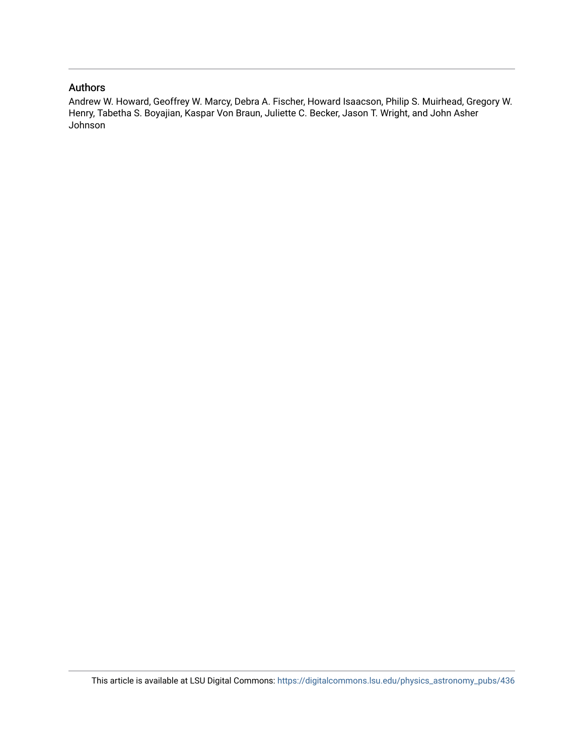# Authors

Andrew W. Howard, Geoffrey W. Marcy, Debra A. Fischer, Howard Isaacson, Philip S. Muirhead, Gregory W. Henry, Tabetha S. Boyajian, Kaspar Von Braun, Juliette C. Becker, Jason T. Wright, and John Asher Johnson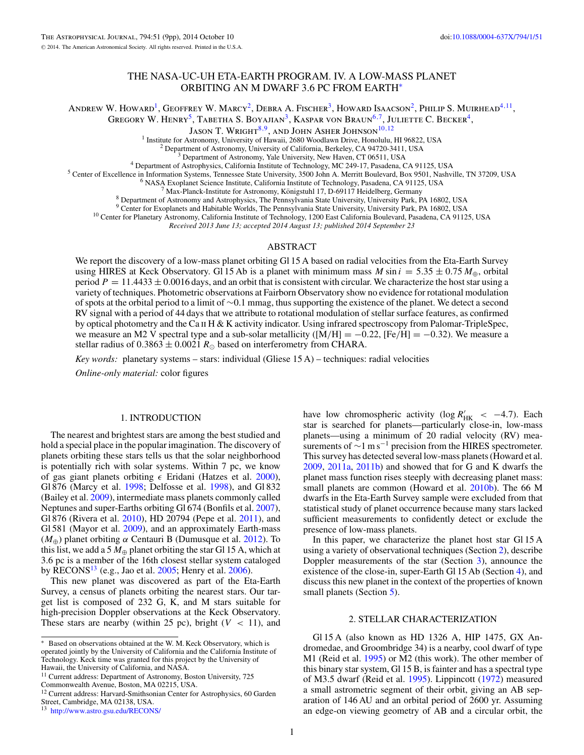## THE NASA-UC-UH ETA-EARTH PROGRAM. IV. A LOW-MASS PLANET ORBITING AN M DWARF 3.6 PC FROM EARTH<sup>∗</sup>

<span id="page-2-0"></span>ANDREW W. HOWARD<sup>1</sup>, Geoffrey W. Marcy<sup>2</sup>, Debra A. Fischer<sup>3</sup>, Howard Isaacson<sup>2</sup>, Philip S. Muirhead<sup>4,11</sup>,

GREGORY W. HENRY<sup>5</sup>, TABETHA S. BOYAJIAN<sup>3</sup>, KASPAR VON BRAUN<sup>6,7</sup>, JULIETTE C. BECKER<sup>4</sup>,

JASON T. WRIGHT<sup>8,9</sup>, AND JOHN ASHER JOHNSON<sup>10,12</sup><br><sup>1</sup> Institute for Astronomy, University of Hawaii, 2680 Woodlawn Drive, Honolulu, HI 96822, USA

<sup>2</sup> Department of Astronomy, University of California, Berkeley, CA 94720-3411, USA<br><sup>3</sup> Department of Astronomy, Yale University, New Haven, CT 06511, USA<br><sup>4</sup> Department of Astrophysics, California Institute of Technology

<sup>9</sup> Center for Exoplanets and Habitable Worlds, The Pennsylvania State University, University Park, PA 16802, USA <sup>10</sup> Center for Planetary Astronomy, California Institute of Technology, 1200 East California Boulevard, Pas

*Received 2013 June 13; accepted 2014 August 13; published 2014 September 23*

## ABSTRACT

We report the discovery of a low-mass planet orbiting Gl 15 A based on radial velocities from the Eta-Earth Survey using HIRES at Keck Observatory. Gl 15 Ab is a planet with minimum mass *M* sin  $i = 5.35 \pm 0.75 M_{\oplus}$ , orbital period  $P = 11.4433 \pm 0.0016$  days, and an orbit that is consistent with circular. We characterize the host star using a variety of techniques. Photometric observations at Fairborn Observatory show no evidence for rotational modulation of spots at the orbital period to a limit of ∼0.1 mmag, thus supporting the existence of the planet. We detect a second RV signal with a period of 44 days that we attribute to rotational modulation of stellar surface features, as confirmed by optical photometry and the Ca  $\text{II H} \& \text{K}$  activity indicator. Using infrared spectroscopy from Palomar-TripleSpec, we measure an M2 V spectral type and a sub-solar metallicity ( $[M/H] = -0.22$ ,  $[Fe/H] = -0.32$ ). We measure a stellar radius of  $0.3863 \pm 0.0021 R_{\odot}$  based on interferometry from CHARA.

*Key words:* planetary systems – stars: individual (Gliese 15 A) – techniques: radial velocities

*Online-only material:* color figures

### 1. INTRODUCTION

The nearest and brightest stars are among the best studied and hold a special place in the popular imagination. The discovery of planets orbiting these stars tells us that the solar neighborhood is potentially rich with solar systems. Within 7 pc, we know of gas giant planets orbiting  $\epsilon$  Eridani (Hatzes et al. [2000\)](#page-10-0), Gl 876 (Marcy et al. [1998;](#page-10-0) Delfosse et al. [1998\)](#page-10-0), and Gl 832 (Bailey et al. [2009\)](#page-10-0), intermediate mass planets commonly called Neptunes and super-Earths orbiting Gl 674 (Bonfils et al. [2007\)](#page-10-0), Gl 876 (Rivera et al. [2010\)](#page-10-0), HD 20794 (Pepe et al. [2011\)](#page-10-0), and Gl 581 (Mayor et al. [2009\)](#page-10-0), and an approximately Earth-mass (*M*⊕) planet orbiting *α* Centauri B (Dumusque et al. [2012\)](#page-10-0). To this list, we add a 5  $M_{\oplus}$  planet orbiting the star Gl 15 A, which at 3.6 pc is a member of the 16th closest stellar system cataloged by RECONS<sup>13</sup> (e.g., Jao et al. [2005;](#page-10-0) Henry et al. [2006\)](#page-10-0).

This new planet was discovered as part of the Eta-Earth Survey, a census of planets orbiting the nearest stars. Our target list is composed of 232 G, K, and M stars suitable for high-precision Doppler observations at the Keck Observatory. These stars are nearby (within 25 pc), bright  $(V < 11)$ , and

<sup>13</sup> <http://www.astro.gsu.edu/RECONS/>

have low chromospheric activity (log  $R'_{HK}$  < -4.7). Each star is searched for planets—particularly close-in, low-mass planets—using a minimum of 20 radial velocity (RV) measurements of  $\sim$ 1 m s<sup>-1</sup> precision from the HIRES spectrometer. This survey has detected several low-mass planets (Howard et al. [2009,](#page-10-0) [2011a,](#page-10-0) [2011b\)](#page-10-0) and showed that for G and K dwarfs the planet mass function rises steeply with decreasing planet mass: small planets are common (Howard et al. [2010b\)](#page-10-0). The 66 M dwarfs in the Eta-Earth Survey sample were excluded from that statistical study of planet occurrence because many stars lacked sufficient measurements to confidently detect or exclude the presence of low-mass planets.

In this paper, we characterize the planet host star Gl 15 A using a variety of observational techniques (Section 2), describe Doppler measurements of the star (Section [3\)](#page-5-0), announce the existence of the close-in, super-Earth Gl 15 Ab (Section [4\)](#page-6-0), and discuss this new planet in the context of the properties of known small planets (Section [5\)](#page-8-0).

## 2. STELLAR CHARACTERIZATION

Gl 15 A (also known as HD 1326 A, HIP 1475, GX Andromedae, and Groombridge 34) is a nearby, cool dwarf of type M1 (Reid et al. [1995\)](#page-10-0) or M2 (this work). The other member of this binary star system, Gl 15 B, is fainter and has a spectral type of M3.5 dwarf (Reid et al. [1995\)](#page-10-0). Lippincott [\(1972\)](#page-10-0) measured a small astrometric segment of their orbit, giving an AB separation of 146 AU and an orbital period of 2600 yr. Assuming an edge-on viewing geometry of AB and a circular orbit, the

Based on observations obtained at the W. M. Keck Observatory, which is operated jointly by the University of California and the California Institute of Technology. Keck time was granted for this project by the University of Hawaii, the University of California, and NASA.

<sup>&</sup>lt;sup>11</sup> Current address: Department of Astronomy, Boston University, 725 Commonwealth Avenue, Boston, MA 02215, USA.

<sup>&</sup>lt;sup>12</sup> Current address: Harvard-Smithsonian Center for Astrophysics, 60 Garden Street, Cambridge, MA 02138, USA.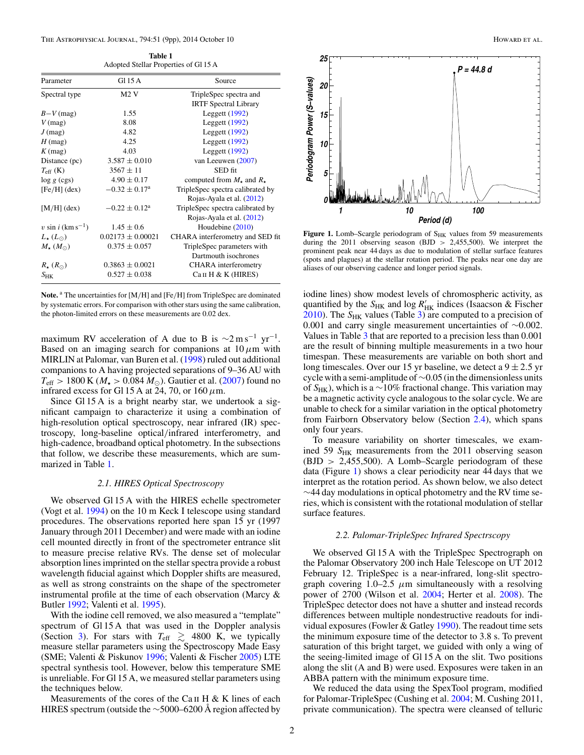| <b>Table 1</b>                        |  |
|---------------------------------------|--|
| Adopted Stellar Properties of Gl 15 A |  |

<span id="page-3-0"></span>

| Parameter                        | Gl 15 A                     | Source                                    |
|----------------------------------|-----------------------------|-------------------------------------------|
| Spectral type                    | M2V                         | TripleSpec spectra and                    |
|                                  |                             | <b>IRTF Spectral Library</b>              |
| $B-V$ (mag)                      | 1.55                        | Leggett $(1992)$                          |
| $V$ (mag)                        | 8.08                        | Leggett $(1992)$                          |
| $J$ (mag)                        | 4.82                        | Leggett $(1992)$                          |
| $H$ (mag)                        | 4.25                        | Leggett $(1992)$                          |
| $K$ (mag)                        | 4.03                        | Leggett $(1992)$                          |
| Distance (pc)                    | $3.587 \pm 0.010$           | van Leeuwen (2007)                        |
| $T_{\rm eff}$ (K)                | $3567 \pm 11$               | SED fit                                   |
| $\log g$ (cgs)                   | $4.90 \pm 0.17$             | computed from $M_{\star}$ and $R_{\star}$ |
| $[Fe/H]$ (dex)                   | $-0.32 \pm 0.17^{\rm a}$    | TripleSpec spectra calibrated by          |
|                                  |                             | Rojas-Ayala et al. (2012)                 |
| $[M/H]$ (dex)                    | $-0.22 \pm 0.12^{\text{a}}$ | TripleSpec spectra calibrated by          |
|                                  |                             | Rojas-Ayala et al. (2012)                 |
| $v \sin i$ (km s <sup>-1</sup> ) | $1.45 \pm 0.6$              | Houdebine $(2010)$                        |
| $L_{\star}(L_{\odot})$           | $0.02173 \pm 0.00021$       | CHARA interferometry and SED fit          |
| $M_{\star}(M_{\odot})$           | $0.375 \pm 0.057$           | TripleSpec parameters with                |
|                                  |                             | Dartmouth isochrones                      |
| $R_{\star}$ $(R_{\odot})$        | $0.3863 \pm 0.0021$         | <b>CHARA</b> interferometry               |
| $S_{\rm HK}$                     | $0.527 \pm 0.038$           | Can H & K (HIRES)                         |

**Note.** <sup>a</sup> The uncertainties for [M*/*H] and [Fe*/*H] from TripleSpec are dominated by systematic errors. For comparison with other stars using the same calibration, the photon-limited errors on these measurements are 0.02 dex.

maximum RV acceleration of A due to B is  $\sim 2 \text{ m s}^{-1} \text{ yr}^{-1}$ . Based on an imaging search for companions at  $10 \mu m$  with MIRLIN at Palomar, van Buren et al. [\(1998\)](#page-10-0) ruled out additional companions to A having projected separations of 9–36 AU with  $T_{\text{eff}} > 1800 \text{ K}$  ( $M_{\star} > 0.084 M_{\odot}$ ). Gautier et al. [\(2007\)](#page-10-0) found no infrared excess for Gl 15 A at 24, 70, or 160 *μ*m.

Since Gl 15 A is a bright nearby star, we undertook a significant campaign to characterize it using a combination of high-resolution optical spectroscopy, near infrared (IR) spectroscopy, long-baseline optical*/*infrared interferometry, and high-cadence, broadband optical photometry. In the subsections that follow, we describe these measurements, which are summarized in Table 1.

#### *2.1. HIRES Optical Spectroscopy*

We observed Gl 15 A with the HIRES echelle spectrometer (Vogt et al. [1994\)](#page-10-0) on the 10 m Keck I telescope using standard procedures. The observations reported here span 15 yr (1997 January through 2011 December) and were made with an iodine cell mounted directly in front of the spectrometer entrance slit to measure precise relative RVs. The dense set of molecular absorption lines imprinted on the stellar spectra provide a robust wavelength fiducial against which Doppler shifts are measured, as well as strong constraints on the shape of the spectrometer instrumental profile at the time of each observation (Marcy & Butler [1992;](#page-10-0) Valenti et al. [1995\)](#page-10-0).

With the iodine cell removed, we also measured a "template" spectrum of Gl 15 A that was used in the Doppler analysis (Section [3\)](#page-5-0). For stars with  $T_{\text{eff}} \geq 4800$  K, we typically measure stellar parameters using the Spectroscopy Made Easy (SME; Valenti & Piskunov [1996;](#page-10-0) Valenti & Fischer [2005\)](#page-10-0) LTE spectral synthesis tool. However, below this temperature SME is unreliable. For Gl 15 A, we measured stellar parameters using the techniques below.

Measurements of the cores of the Ca II H  $\&$  K lines of each HIRES spectrum (outside the  $\sim$ 5000–6200 Å region affected by



Figure 1. Lomb-Scargle periodogram of S<sub>HK</sub> values from 59 measurements during the 2011 observing season (BJD *>* 2,455,500). We interpret the prominent peak near 44 days as due to modulation of stellar surface features (spots and plagues) at the stellar rotation period. The peaks near one day are aliases of our observing cadence and longer period signals.

iodine lines) show modest levels of chromospheric activity, as quantified by the  $S_{HK}$  and  $\log R'_{HK}$  indices (Isaacson & Fischer [2010\)](#page-10-0). The *S*<sub>HK</sub> values (Table [3\)](#page-9-0) are computed to a precision of 0.001 and carry single measurement uncertainties of ∼0.002. Values in Table [3](#page-9-0) that are reported to a precision less than 0.001 are the result of binning multiple measurements in a two hour timespan. These measurements are variable on both short and long timescales. Over our 15 yr baseline, we detect a  $9 \pm 2.5$  yr cycle with a semi-amplitude of∼0.05 (in the dimensionless units of *S*HK), which is a ∼10% fractional change. This variation may be a magnetic activity cycle analogous to the solar cycle. We are unable to check for a similar variation in the optical photometry from Fairborn Observatory below (Section [2.4\)](#page-5-0), which spans only four years.

To measure variability on shorter timescales, we examined 59  $S_{HK}$  measurements from the 2011 observing season (BJD *>* 2,455,500). A Lomb–Scargle periodogram of these data (Figure 1) shows a clear periodicity near 44 days that we interpret as the rotation period. As shown below, we also detect  $\sim$ 44 day modulations in optical photometry and the RV time series, which is consistent with the rotational modulation of stellar surface features.

#### *2.2. Palomar-TripleSpec Infrared Spectrscopy*

We observed Gl 15 A with the TripleSpec Spectrograph on the Palomar Observatory 200 inch Hale Telescope on UT 2012 February 12. TripleSpec is a near-infrared, long-slit spectrograph covering  $1.0-2.5 \mu m$  simultaneously with a resolving power of 2700 (Wilson et al. [2004;](#page-10-0) Herter et al. [2008\)](#page-10-0). The TripleSpec detector does not have a shutter and instead records differences between multiple nondestructive readouts for indi-vidual exposures (Fowler & Gatley [1990\)](#page-10-0). The readout time sets the minimum exposure time of the detector to 3.8 s. To prevent saturation of this bright target, we guided with only a wing of the seeing-limited image of Gl 15 A on the slit. Two positions along the slit (A and B) were used. Exposures were taken in an ABBA pattern with the minimum exposure time.

We reduced the data using the SpexTool program, modified for Palomar-TripleSpec (Cushing et al. [2004;](#page-10-0) M. Cushing 2011, private communication). The spectra were cleansed of telluric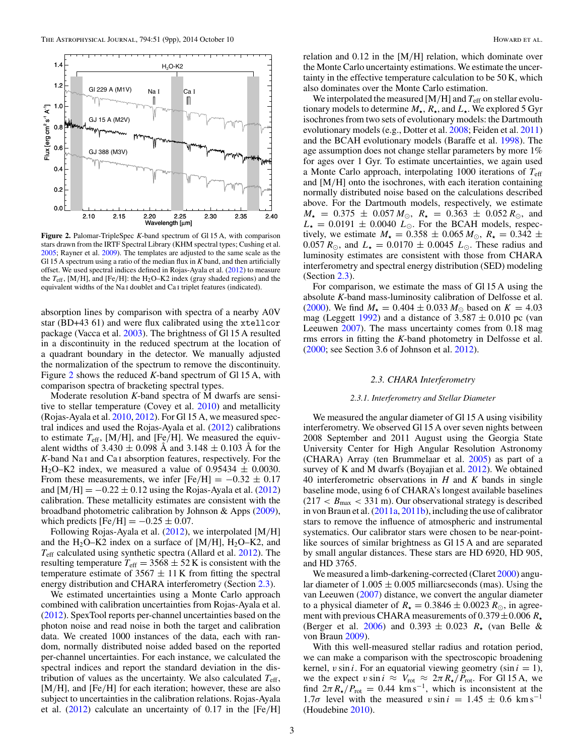

**Figure 2.** Palomar-TripleSpec *K*-band spectrum of Gl 15 A, with comparison stars drawn from the IRTF Spectral Library (KHM spectral types; Cushing et al. [2005;](#page-10-0) Rayner et al. [2009\)](#page-10-0). The templates are adjusted to the same scale as the Gl 15 A spectrum using a ratio of the median flux in *K* band, and then artificially offset. We used spectral indices defined in Rojas-Ayala et al. [\(2012\)](#page-10-0) to measure the *T*eff, [M*/*H], and [Fe*/*H]: the H2O–K2 index (gray shaded regions) and the equivalent widths of the Na i doublet and Ca i triplet features (indicated).

absorption lines by comparison with spectra of a nearby A0V star (BD+43 61) and were flux calibrated using the xtellcor package (Vacca et al. [2003\)](#page-10-0). The brightness of Gl 15 A resulted in a discontinuity in the reduced spectrum at the location of a quadrant boundary in the detector. We manually adjusted the normalization of the spectrum to remove the discontinuity. Figure 2 shows the reduced *K*-band spectrum of Gl 15 A, with comparison spectra of bracketing spectral types.

Moderate resolution *K*-band spectra of M dwarfs are sensitive to stellar temperature (Covey et al. [2010\)](#page-10-0) and metallicity (Rojas-Ayala et al. [2010,](#page-10-0) [2012\)](#page-10-0). For Gl 15 A, we measured spectral indices and used the Rojas-Ayala et al. [\(2012\)](#page-10-0) calibrations to estimate  $T_{\text{eff}}$ , [M/H], and [Fe/H]. We measured the equivalent widths of  $3.430 \pm 0.098$  Å and  $3.148 \pm 0.103$  Å for the *K*-band Na i and Ca i absorption features, respectively. For the H<sub>2</sub>O–K2 index, we measured a value of 0.95434  $\pm$  0.0030. From these measurements, we infer  $[Fe/H] = -0.32 \pm 0.17$ and  $[M/H] = -0.22 \pm 0.12$  using the Rojas-Ayala et al. [\(2012\)](#page-10-0) calibration. These metallicity estimates are consistent with the broadband photometric calibration by Johnson & Apps [\(2009\)](#page-10-0), which predicts  $[Fe/H] = -0.25 \pm 0.07$ .

Following Rojas-Ayala et al. [\(2012\)](#page-10-0), we interpolated [M*/*H] and the  $H_2O-K2$  index on a surface of [M/H],  $H_2O-K2$ , and *T*eff calculated using synthetic spectra (Allard et al. [2012\)](#page-10-0). The resulting temperature  $T_{\text{eff}} = 3568 \pm 52 \text{ K}$  is consistent with the temperature estimate of  $3567 \pm 11$  K from fitting the spectral energy distribution and CHARA interferometry (Section 2.3).

We estimated uncertainties using a Monte Carlo approach combined with calibration uncertainties from Rojas-Ayala et al. [\(2012\)](#page-10-0). SpexTool reports per-channel uncertainties based on the photon noise and read noise in both the target and calibration data. We created 1000 instances of the data, each with random, normally distributed noise added based on the reported per-channel uncertainties. For each instance, we calculated the spectral indices and report the standard deviation in the distribution of values as the uncertainty. We also calculated *T*eff, [M*/*H], and [Fe*/*H] for each iteration; however, these are also subject to uncertainties in the calibration relations. Rojas-Ayala et al. [\(2012\)](#page-10-0) calculate an uncertainty of 0.17 in the [Fe*/*H] relation and 0.12 in the [M*/*H] relation, which dominate over the Monte Carlo uncertainty estimations. We estimate the uncertainty in the effective temperature calculation to be 50 K, which also dominates over the Monte Carlo estimation.

We interpolated the measured [M/H] and  $T_{\text{eff}}$  on stellar evolutionary models to determine  $M_{\star}$ ,  $R_{\star}$ , and  $L_{\star}$ . We explored 5 Gyr isochrones from two sets of evolutionary models: the Dartmouth evolutionary models (e.g., Dotter et al. [2008;](#page-10-0) Feiden et al. [2011\)](#page-10-0) and the BCAH evolutionary models (Baraffe et al. [1998\)](#page-10-0). The age assumption does not change stellar parameters by more 1% for ages over 1 Gyr. To estimate uncertainties, we again used a Monte Carlo approach, interpolating 1000 iterations of *T*eff and [M*/*H] onto the isochrones, with each iteration containing normally distributed noise based on the calculations described above. For the Dartmouth models, respectively, we estimate  $M_{\star}$  = 0.375  $\pm$  0.057  $M_{\odot}$ ,  $R_{\star}$  = 0.363  $\pm$  0.052  $R_{\odot}$ , and  $L_{\star}$  = 0.0191  $\pm$  0.0040  $L_{\odot}$ . For the BCAH models, respectively, we estimate  $M_{\star} = 0.358 \pm 0.065 M_{\odot}$ ,  $R_{\star} = 0.342 \pm 0.065 M_{\odot}$ 0.057  $R_{\odot}$ , and  $L_{\star} = 0.0170 \pm 0.0045 L_{\odot}$ . These radius and luminosity estimates are consistent with those from CHARA interferometry and spectral energy distribution (SED) modeling (Section 2.3).

For comparison, we estimate the mass of Gl 15 A using the absolute *K*-band mass-luminosity calibration of Delfosse et al. [\(2000\)](#page-10-0). We find  $M_{\star} = 0.404 \pm 0.033 M_{\odot}$  based on  $K = 4.03$ mag (Leggett  $1992$ ) and a distance of  $3.587 \pm 0.010$  pc (van Leeuwen [2007\)](#page-10-0). The mass uncertainty comes from 0.18 mag rms errors in fitting the *K*-band photometry in Delfosse et al. [\(2000;](#page-10-0) see Section 3.6 of Johnson et al. [2012\)](#page-10-0).

#### *2.3. CHARA Interferometry*

#### *2.3.1. Interferometry and Stellar Diameter*

We measured the angular diameter of Gl 15 A using visibility interferometry. We observed Gl 15 A over seven nights between 2008 September and 2011 August using the Georgia State University Center for High Angular Resolution Astronomy (CHARA) Array (ten Brummelaar et al. [2005\)](#page-10-0) as part of a survey of K and M dwarfs (Boyajian et al. [2012\)](#page-10-0). We obtained 40 interferometric observations in *H* and *K* bands in single baseline mode, using 6 of CHARA's longest available baselines  $(217 < B<sub>max</sub> < 331 m)$ . Our observational strategy is described in von Braun et al. [\(2011a,](#page-10-0) [2011b\)](#page-10-0), including the use of calibrator stars to remove the influence of atmospheric and instrumental systematics. Our calibrator stars were chosen to be near-pointlike sources of similar brightness as Gl 15 A and are separated by small angular distances. These stars are HD 6920, HD 905, and HD 3765.

We measured a limb-darkening-corrected (Claret [2000\)](#page-10-0) angular diameter of  $1.005 \pm 0.005$  milliarcseconds (mas). Using the van Leeuwen [\(2007\)](#page-10-0) distance, we convert the angular diameter to a physical diameter of  $R_{\star} = 0.3846 \pm 0.0023 R_{\odot}$ , in agreement with previous CHARA measurements of  $0.379 \pm 0.006 R_{\star}$ (Berger et al. [2006\)](#page-10-0) and  $0.393 \pm 0.023$   $R_{\star}$  (van Belle & von Braun [2009\)](#page-10-0).

With this well-measured stellar radius and rotation period, we can make a comparison with the spectroscopic broadening kernel,  $v \sin i$ . For an equatorial viewing geometry (sin  $i = 1$ ), we the expect  $v \sin i \approx V_{\text{rot}} \approx 2\pi R_{\star}/P_{\text{rot}}$ . For Gl 15 A, we find  $2\pi R_{\star}/P_{\text{rot}} = 0.44 \text{ km s}^{-1}$ , which is inconsistent at the 1.7*σ* level with the measured  $v \sin i = 1.45 \pm 0.6$  km s<sup>-1</sup> (Houdebine [2010\)](#page-10-0).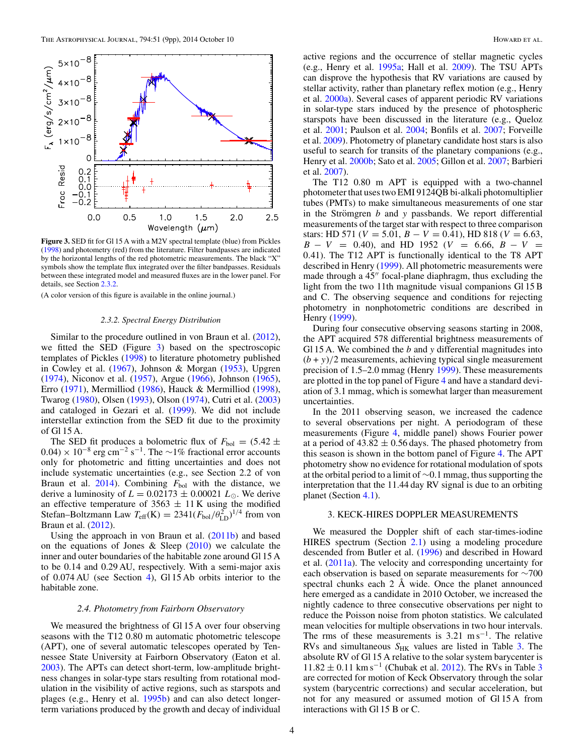<span id="page-5-0"></span>

**Figure 3.** SED fit for Gl 15 A with a M2V spectral template (blue) from Pickles [\(1998\)](#page-10-0) and photometry (red) from the literature. Filter bandpasses are indicated by the horizontal lengths of the red photometric measurements. The black "X" symbols show the template flux integrated over the filter bandpasses. Residuals between these integrated model and measured fluxes are in the lower panel. For details, see Section 2.3.2.

(A color version of this figure is available in the online journal.)

#### *2.3.2. Spectral Energy Distribution*

Similar to the procedure outlined in von Braun et al. [\(2012\)](#page-10-0), we fitted the SED (Figure 3) based on the spectroscopic templates of Pickles [\(1998\)](#page-10-0) to literature photometry published in Cowley et al. [\(1967\)](#page-10-0), Johnson & Morgan [\(1953\)](#page-10-0), Upgren [\(1974\)](#page-10-0), Niconov et al. [\(1957\)](#page-10-0), Argue [\(1966\)](#page-10-0), Johnson [\(1965\)](#page-10-0), Erro [\(1971\)](#page-10-0), Mermilliod [\(1986\)](#page-10-0), Hauck & Mermilliod [\(1998\)](#page-10-0), Twarog [\(1980\)](#page-10-0), Olsen [\(1993\)](#page-10-0), Olson [\(1974\)](#page-10-0), Cutri et al. [\(2003\)](#page-10-0) and cataloged in Gezari et al. [\(1999\)](#page-10-0). We did not include interstellar extinction from the SED fit due to the proximity of Gl 15 A.

The SED fit produces a bolometric flux of  $F_{bol} = (5.42 \pm 1.00)$  $(0.04) \times 10^{-8}$  erg cm<sup>-2</sup> s<sup>-1</sup>. The ~1% fractional error accounts only for photometric and fitting uncertainties and does not include systematic uncertainties (e.g., see Section 2.2 of von Braun et al.  $2014$ ). Combining  $F_{bol}$  with the distance, we derive a luminosity of  $L = 0.02\overline{173} \pm 0.00021$   $L_{\odot}$ . We derive an effective temperature of 3563  $\pm$  11 K using the modified Stefan–Boltzmann Law  $T_{\text{eff}}(K) = 2341(F_{\text{bol}}/\theta_{\text{LD}}^2)^{1/4}$  from von Braun et al. [\(2012\)](#page-10-0).

Using the approach in von Braun et al.  $(2011b)$  and based on the equations of Jones & Sleep  $(2010)$  we calculate the inner and outer boundaries of the habitable zone around Gl 15 A to be 0.14 and 0.29 AU, respectively. With a semi-major axis of 0.074 AU (see Section [4\)](#page-6-0), Gl 15 Ab orbits interior to the habitable zone.

#### *2.4. Photometry from Fairborn Observatory*

We measured the brightness of Gl 15 A over four observing seasons with the T12 0.80 m automatic photometric telescope (APT), one of several automatic telescopes operated by Tennessee State University at Fairborn Observatory (Eaton et al. [2003\)](#page-10-0). The APTs can detect short-term, low-amplitude brightness changes in solar-type stars resulting from rotational modulation in the visibility of active regions, such as starspots and plages (e.g., Henry et al. [1995b\)](#page-10-0) and can also detect longerterm variations produced by the growth and decay of individual

active regions and the occurrence of stellar magnetic cycles (e.g., Henry et al. [1995a;](#page-10-0) Hall et al. [2009\)](#page-10-0). The TSU APTs can disprove the hypothesis that RV variations are caused by stellar activity, rather than planetary reflex motion (e.g., Henry et al. [2000a\)](#page-10-0). Several cases of apparent periodic RV variations in solar-type stars induced by the presence of photospheric starspots have been discussed in the literature (e.g., Queloz et al. [2001;](#page-10-0) Paulson et al. [2004;](#page-10-0) Bonfils et al. [2007;](#page-10-0) Forveille et al. [2009\)](#page-10-0). Photometry of planetary candidate host stars is also useful to search for transits of the planetary companions (e.g., Henry et al. [2000b;](#page-10-0) Sato et al. [2005;](#page-10-0) Gillon et al. [2007;](#page-10-0) Barbieri et al. [2007\)](#page-10-0).

The T12 0.80 m APT is equipped with a two-channel photometer that uses two EMI 9124QB bi-alkali photomultiplier tubes (PMTs) to make simultaneous measurements of one star in the Strömgren  *and*  $*y*$  *passbands. We report differential* measurements of the target star with respect to three comparison stars: HD 571 ( $V = 5.01$ ,  $B - V = 0.41$ ), HD 818 ( $V = 6.63$ , *B* − *V* = 0*.*40), and HD 1952 (*V* = 6*.*66, *B* − *V* = 0*.*41). The T12 APT is functionally identical to the T8 APT described in Henry [\(1999\)](#page-10-0). All photometric measurements were made through a  $45$ " focal-plane diaphragm, thus excluding the light from the two 11th magnitude visual companions Gl 15 B and C. The observing sequence and conditions for rejecting photometry in nonphotometric conditions are described in Henry [\(1999\)](#page-10-0).

During four consecutive observing seasons starting in 2008, the APT acquired 578 differential brightness measurements of Gl 15 A. We combined the *b* and *y* differential magnitudes into  $(b + y)/2$  measurements, achieving typical single measurement precision of 1.5–2.0 mmag (Henry [1999\)](#page-10-0). These measurements are plotted in the top panel of Figure [4](#page-6-0) and have a standard deviation of 3.1 mmag, which is somewhat larger than measurement uncertainties.

In the 2011 observing season, we increased the cadence to several observations per night. A periodogram of these measurements (Figure [4,](#page-6-0) middle panel) shows Fourier power at a period of  $43.82 \pm 0.56$  days. The phased photometry from this season is shown in the bottom panel of Figure [4.](#page-6-0) The APT photometry show no evidence for rotational modulation of spots at the orbital period to a limit of ∼0.1 mmag, thus supporting the interpretation that the 11.44 day RV signal is due to an orbiting planet (Section [4.1\)](#page-7-0).

#### 3. KECK-HIRES DOPPLER MEASUREMENTS

We measured the Doppler shift of each star-times-iodine HIRES spectrum (Section [2.1\)](#page-3-0) using a modeling procedure descended from Butler et al. [\(1996\)](#page-10-0) and described in Howard et al. [\(2011a\)](#page-10-0). The velocity and corresponding uncertainty for each observation is based on separate measurements for ∼700 spectral chunks each 2 Å wide. Once the planet announced here emerged as a candidate in 2010 October, we increased the nightly cadence to three consecutive observations per night to reduce the Poisson noise from photon statistics. We calculated mean velocities for multiple observations in two hour intervals. The rms of these measurements is 3*.*21 m s−1. The relative RVs and simultaneous S<sub>HK</sub> values are listed in Table [3.](#page-9-0) The absolute RV of Gl 15 A relative to the solar system barycenter is  $11.82 \pm 0.11$  km s<sup>-1</sup> (Chubak et al. [2012\)](#page-10-0). The RVs in Table [3](#page-9-0) are corrected for motion of Keck Observatory through the solar system (barycentric corrections) and secular acceleration, but not for any measured or assumed motion of Gl 15 A from interactions with Gl 15 B or C.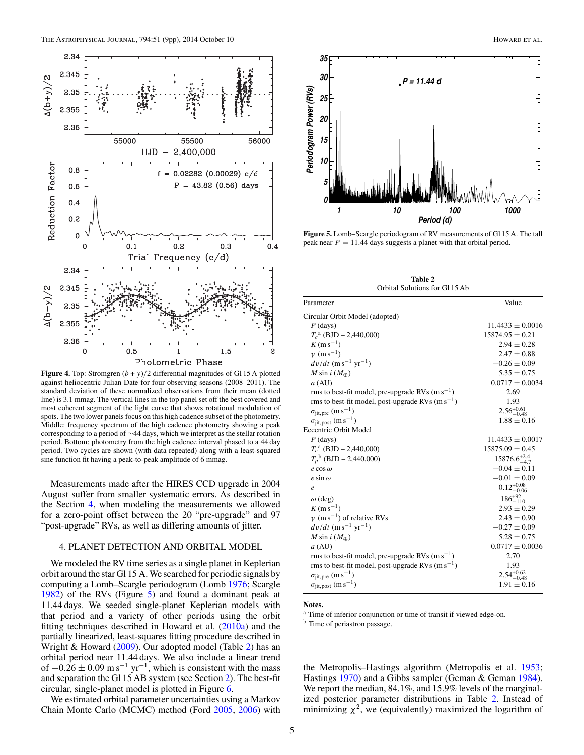<span id="page-6-0"></span>

**Figure 4.** Top: Stromgren  $(b + y)/2$  differential magnitudes of Gl 15 A plotted against heliocentric Julian Date for four observing seasons (2008–2011). The standard deviation of these normalized observations from their mean (dotted line) is 3.1 mmag. The vertical lines in the top panel set off the best covered and most coherent segment of the light curve that shows rotational modulation of spots. The two lower panels focus on this high cadence subset of the photometry. Middle: frequency spectrum of the high cadence photometry showing a peak corresponding to a period of ∼44 days, which we interpret as the stellar rotation period. Bottom: photometry from the high cadence interval phased to a 44 day period. Two cycles are shown (with data repeated) along with a least-squared sine function fit having a peak-to-peak amplitude of 6 mmag.

Measurements made after the HIRES CCD upgrade in 2004 August suffer from smaller systematic errors. As described in the Section 4, when modeling the measurements we allowed for a zero-point offset between the 20 "pre-upgrade" and 97 "post-upgrade" RVs, as well as differing amounts of jitter.

#### 4. PLANET DETECTION AND ORBITAL MODEL

We modeled the RV time series as a single planet in Keplerian orbit around the star Gl 15 A. We searched for periodic signals by computing a Lomb–Scargle periodogram (Lomb [1976;](#page-10-0) Scargle [1982\)](#page-10-0) of the RVs (Figure 5) and found a dominant peak at 11.44 days. We seeded single-planet Keplerian models with that period and a variety of other periods using the orbit fitting techniques described in Howard et al. [\(2010a\)](#page-10-0) and the partially linearized, least-squares fitting procedure described in Wright & Howard [\(2009\)](#page-10-0). Our adopted model (Table 2) has an orbital period near 11.44 days. We also include a linear trend of  $-0.26 \pm 0.09$  m s<sup>-1</sup> yr<sup>-1</sup>, which is consistent with the mass and separation the Gl 15 AB system (see Section [2\)](#page-2-0). The best-fit circular, single-planet model is plotted in Figure [6.](#page-7-0)

We estimated orbital parameter uncertainties using a Markov Chain Monte Carlo (MCMC) method (Ford [2005,](#page-10-0) [2006\)](#page-10-0) with



**Figure 5.** Lomb–Scargle periodogram of RV measurements of Gl 15 A. The tall peak near *P* = 11*.*44 days suggests a planet with that orbital period.

**Table 2** Orbital Solutions for Gl 15 Ab

| Parameter                                            | Value                   |
|------------------------------------------------------|-------------------------|
| Circular Orbit Model (adopted)                       |                         |
| $P$ (days)                                           | $11.4433 \pm 0.0016$    |
| $T_c^{\text{a}}$ (BJD – 2,440,000)                   | $15874.95 \pm 0.21$     |
| $K(m s^{-1})$                                        | $2.94 \pm 0.28$         |
| $\gamma$ (m s <sup>-1</sup> )                        | $2.47 \pm 0.88$         |
| $dv/dt$ (m s <sup>-1</sup> yr <sup>-1</sup> )        | $-0.26 \pm 0.09$        |
| M sin $i(M_{\oplus})$                                | $5.35 \pm 0.75$         |
| a (AU)                                               | $0.0717 \pm 0.0034$     |
| rms to best-fit model, pre-upgrade RVs $(m s^{-1})$  | 2.69                    |
| rms to best-fit model, post-upgrade RVs $(m s^{-1})$ | 1.93                    |
| $\sigma_{\text{jit, pre}}$ (m s <sup>-1</sup> )      | $2.56_{-0.48}^{+0.61}$  |
| $\sigma_{\text{jit, post}}$ (m s <sup>-1</sup> )     | $1.88 \pm 0.16$         |
| <b>Eccentric Orbit Model</b>                         |                         |
| $P$ (days)                                           | $11.4433 \pm 0.0017$    |
| $T_c^{\text{a}}$ (BJD – 2,440,000)                   | $15875.09 \pm 0.45$     |
| $T_p^{\ b}$ (BJD - 2,440,000)                        | $15876.6^{+2.4}_{-4.7}$ |
| $e$ COS $\omega$                                     | $-0.04 \pm 0.11$        |
| $e \sin \omega$                                      | $-0.01 \pm 0.09$        |
| e                                                    | $0.12_{-0.06}^{+0.08}$  |
| $\omega$ (deg)                                       | $186^{+92}_{-110}$      |
| $K(m s^{-1})$                                        | $2.93 \pm 0.29$         |
| $\gamma$ (m s <sup>-1</sup> ) of relative RVs        | $2.43 \pm 0.90$         |
| $dv/dt$ (m s <sup>-1</sup> yr <sup>-1</sup> )        | $-0.27 \pm 0.09$        |
| M sin $i(M_{\oplus})$                                | $5.28 \pm 0.75$         |
| a (AU)                                               | $0.0717 \pm 0.0036$     |
| rms to best-fit model, pre-upgrade RVs $(m s^{-1})$  | 2.70                    |
| rms to best-fit model, post-upgrade RVs $(m s^{-1})$ | 1.93                    |
| $\sigma_{jit, pre}$ $(m s^{-1})$                     | $2.54_{-0.48}^{+0.62}$  |
| $\sigma_{\text{jit,post}}$ (m s <sup>-1</sup> )      | $1.91 \pm 0.16$         |
|                                                      |                         |

**Notes.**

<sup>a</sup> Time of inferior conjunction or time of transit if viewed edge-on.

**b** Time of periastron passage.

the Metropolis–Hastings algorithm (Metropolis et al. [1953;](#page-10-0) Hastings [1970\)](#page-10-0) and a Gibbs sampler (Geman & Geman [1984\)](#page-10-0). We report the median, 84.1%, and 15.9% levels of the marginalized posterior parameter distributions in Table 2. Instead of minimizing  $\chi^2$ , we (equivalently) maximized the logarithm of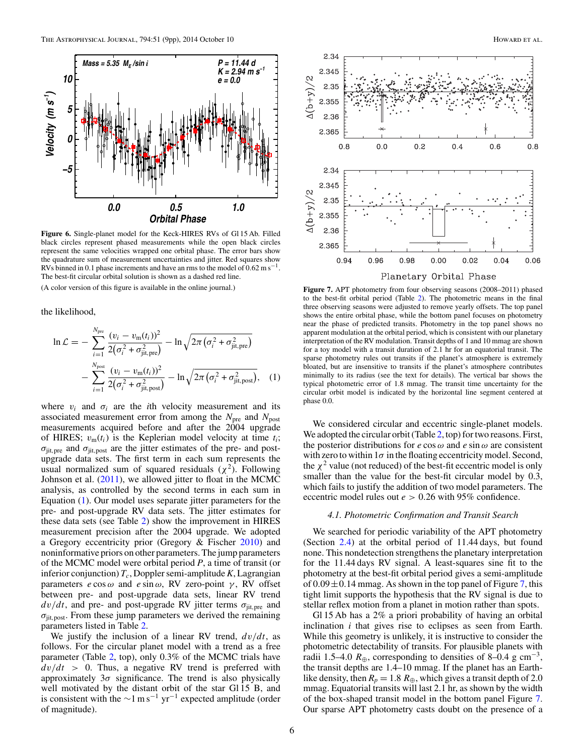<span id="page-7-0"></span>

**Figure 6.** Single-planet model for the Keck-HIRES RVs of Gl 15 Ab. Filled black circles represent phased measurements while the open black circles represent the same velocities wrapped one orbital phase. The error bars show the quadrature sum of measurement uncertainties and jitter. Red squares show RVs binned in 0.1 phase increments and have an rms to the model of  $0.62 \text{ m s}^{-1}$ . The best-fit circular orbital solution is shown as a dashed red line.

(A color version of this figure is available in the online journal.)

the likelihood,

$$
\ln \mathcal{L} = -\sum_{i=1}^{N_{\text{pre}}} \frac{(v_i - v_{\text{m}}(t_i))^2}{2(\sigma_i^2 + \sigma_{\text{jit,pre}}^2)} - \ln \sqrt{2\pi (\sigma_i^2 + \sigma_{\text{jit,pre}}^2)}
$$

$$
- \sum_{i=1}^{N_{\text{post}}} \frac{(v_i - v_{\text{m}}(t_i))^2}{2(\sigma_i^2 + \sigma_{\text{jit,post}}^2)} - \ln \sqrt{2\pi (\sigma_i^2 + \sigma_{\text{jit,post}}^2)}, \quad (1)
$$

where  $v_i$  and  $\sigma_i$  are the *i*th velocity measurement and its associated measurement error from among the  $N_{\text{pre}}$  and  $N_{\text{post}}$ measurements acquired before and after the 2004 upgrade of HIRES;  $v_m(t_i)$  is the Keplerian model velocity at time  $t_i$ ;  $\sigma_{\text{jit, pre}}$  and  $\sigma_{\text{jit, post}}$  are the jitter estimates of the pre- and postupgrade data sets. The first term in each sum represents the usual normalized sum of squared residuals  $(\chi^2)$ . Following Johnson et al. [\(2011\)](#page-10-0), we allowed jitter to float in the MCMC analysis, as controlled by the second terms in each sum in Equation (1). Our model uses separate jitter parameters for the pre- and post-upgrade RV data sets. The jitter estimates for these data sets (see Table [2\)](#page-6-0) show the improvement in HIRES measurement precision after the 2004 upgrade. We adopted a Gregory eccentricity prior (Gregory & Fischer [2010\)](#page-10-0) and noninformative priors on other parameters. The jump parameters of the MCMC model were orbital period *P*, a time of transit (or inferior conjunction)  $T_c$ , Doppler semi-amplitude *K*, Lagrangian parameters *e* cos *ω* and *e* sin *ω*, RV zero-point *γ* , RV offset between pre- and post-upgrade data sets, linear RV trend  $dv/dt$ , and pre- and post-upgrade RV jitter terms  $\sigma_{\text{jit,pre}}$  and *σ*jit*,*post. From these jump parameters we derived the remaining parameters listed in Table [2.](#page-6-0)

We justify the inclusion of a linear RV trend, *dv/dt*, as follows. For the circular planet model with a trend as a free parameter (Table [2,](#page-6-0) top), only 0.3% of the MCMC trials have  $dv/dt$  > 0. Thus, a negative RV trend is preferred with approximately 3*σ* significance. The trend is also physically well motivated by the distant orbit of the star Gl 15 B, and is consistent with the  $\sim$ 1 ms<sup>-1</sup> yr<sup>-1</sup> expected amplitude (order of magnitude).



**Figure 7.** APT photometry from four observing seasons (2008–2011) phased to the best-fit orbital period (Table [2\)](#page-6-0). The photometric means in the final three observing seasons were adjusted to remove yearly offsets. The top panel shows the entire orbital phase, while the bottom panel focuses on photometry near the phase of predicted transits. Photometry in the top panel shows no apparent modulation at the orbital period, which is consistent with our planetary interpretation of the RV modulation. Transit depths of 1 and 10 mmag are shown for a toy model with a transit duration of 2.1 hr for an equatorial transit. The sparse photometry rules out transits if the planet's atmosphere is extremely bloated, but are insensitive to transits if the planet's atmosphere contributes minimally to its radius (see the text for details). The vertical bar shows the typical photometric error of 1.8 mmag. The transit time uncertainty for the circular orbit model is indicated by the horizontal line segment centered at phase 0.0.

We considered circular and eccentric single-planet models. We adopted the circular orbit (Table [2,](#page-6-0) top) for two reasons. First, the posterior distributions for  $e \cos \omega$  and  $e \sin \omega$  are consistent with zero to within  $1\sigma$  in the floating eccentricity model. Second, the  $\chi^2$  value (not reduced) of the best-fit eccentric model is only smaller than the value for the best-fit circular model by 0.3, which fails to justify the addition of two model parameters. The eccentric model rules out *e >* 0*.*26 with 95% confidence.

#### *4.1. Photometric Confirmation and Transit Search*

We searched for periodic variability of the APT photometry (Section [2.4\)](#page-5-0) at the orbital period of 11.44 days, but found none. This nondetection strengthens the planetary interpretation for the 11.44 days RV signal. A least-squares sine fit to the photometry at the best-fit orbital period gives a semi-amplitude of  $0.09 \pm 0.14$  mmag. As shown in the top panel of Figure 7, this tight limit supports the hypothesis that the RV signal is due to stellar reflex motion from a planet in motion rather than spots.

Gl 15 Ab has a 2% a priori probability of having an orbital inclination *i* that gives rise to eclipses as seen from Earth. While this geometry is unlikely, it is instructive to consider the photometric detectability of transits. For plausible planets with radii 1.5–4.0  $R_{\oplus}$ , corresponding to densities of 8–0.4 g cm<sup>-3</sup>, the transit depths are 1.4–10 mmag. If the planet has an Earthlike density, then  $R_p = 1.8 R_\oplus$ , which gives a transit depth of 2.0 mmag. Equatorial transits will last 2.1 hr, as shown by the width of the box-shaped transit model in the bottom panel Figure 7. Our sparse APT photometry casts doubt on the presence of a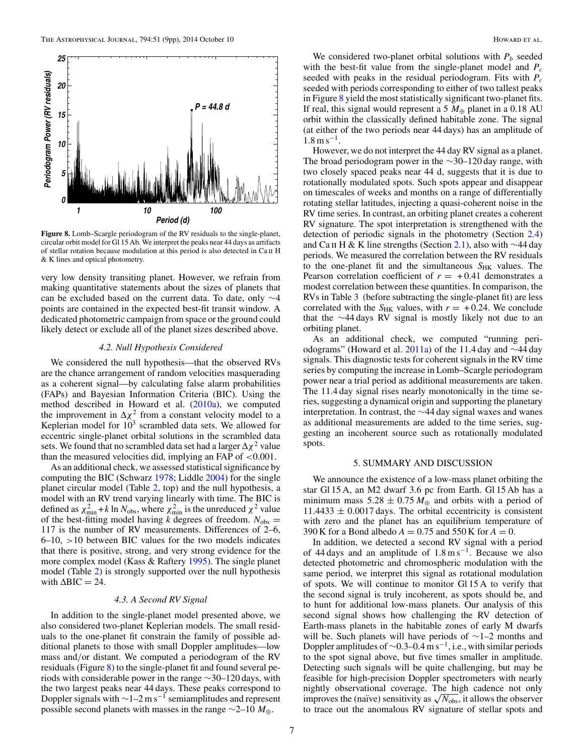<span id="page-8-0"></span>

**Figure 8.** Lomb–Scargle periodogram of the RV residuals to the single-planet, circular orbit model for Gl 15 Ab. We interpret the peaks near 44 days as artifacts of stellar rotation because modulation at this period is also detected in Ca II H & K lines and optical photometry.

very low density transiting planet. However, we refrain from making quantitative statements about the sizes of planets that can be excluded based on the current data. To date, only ∼4 points are contained in the expected best-fit transit window. A dedicated photometric campaign from space or the ground could likely detect or exclude all of the planet sizes described above.

#### *4.2. Null Hypothesis Considered*

We considered the null hypothesis—that the observed RVs are the chance arrangement of random velocities masquerading as a coherent signal—by calculating false alarm probabilities (FAPs) and Bayesian Information Criteria (BIC). Using the method described in Howard et al. [\(2010a\)](#page-10-0), we computed the improvement in  $\Delta \chi^2$  from a constant velocity model to a Keplerian model for  $10<sup>3</sup>$  scrambled data sets. We allowed for eccentric single-planet orbital solutions in the scrambled data sets. We found that no scrambled data set had a larger  $\Delta \chi^2$  value than the measured velocities did, implying an FAP of *<*0.001.

As an additional check, we assessed statistical significance by computing the BIC (Schwarz [1978;](#page-10-0) Liddle [2004\)](#page-10-0) for the single planet circular model (Table [2,](#page-6-0) top) and the null hypothesis, a model with an RV trend varying linearly with time. The BIC is defined as  $\chi^2_{\text{min}} + k \ln N_{\text{obs}}$ , where  $\chi^2_{\text{min}}$  is the unreduced  $\chi^2$  value of the best-fitting model having *k* degrees of freedom.  $N_{obs}$  = 117 is the number of RV measurements. Differences of 2–6, 6–10, *>*10 between BIC values for the two models indicates that there is positive, strong, and very strong evidence for the more complex model (Kass & Raftery [1995\)](#page-10-0). The single planet model (Table [2\)](#page-6-0) is strongly supported over the null hypothesis with  $\Delta BIC = 24$ .

#### *4.3. A Second RV Signal*

In addition to the single-planet model presented above, we also considered two-planet Keplerian models. The small residuals to the one-planet fit constrain the family of possible additional planets to those with small Doppler amplitudes—low mass and*/*or distant. We computed a periodogram of the RV residuals (Figure 8) to the single-planet fit and found several periods with considerable power in the range ∼30–120 days, with the two largest peaks near 44 days. These peaks correspond to Doppler signals with  $\sim$ 1–2 m s<sup>-1</sup> semiamplitudes and represent possible second planets with masses in the range ∼2–10 *M*⊕.

We considered two-planet orbital solutions with  $P_b$  seeded with the best-fit value from the single-planet model and  $P_c$ seeded with peaks in the residual periodogram. Fits with *Pc* seeded with periods corresponding to either of two tallest peaks in Figure 8 yield the most statistically significant two-planet fits. If real, this signal would represent a 5  $M_{\oplus}$  planet in a 0.18 AU orbit within the classically defined habitable zone. The signal (at either of the two periods near 44 days) has an amplitude of  $1.8 \,\mathrm{m\,s^{-1}}$ .

However, we do not interpret the 44 day RV signal as a planet. The broad periodogram power in the ∼30–120 day range, with two closely spaced peaks near 44 d, suggests that it is due to rotationally modulated spots. Such spots appear and disappear on timescales of weeks and months on a range of differentially rotating stellar latitudes, injecting a quasi-coherent noise in the RV time series. In contrast, an orbiting planet creates a coherent RV signature. The spot interpretation is strengthened with the detection of periodic signals in the photometry (Section [2.4\)](#page-5-0) and Ca II H & K line strengths (Section [2.1\)](#page-3-0), also with ∼44 day periods. We measured the correlation between the RV residuals to the one-planet fit and the simultaneous  $S_{HK}$  values. The Pearson correlation coefficient of  $r = +0.41$  demonstrates a modest correlation between these quantities. In comparison, the RVs in Table [3](#page-9-0) (before subtracting the single-planet fit) are less correlated with the  $S_{HK}$  values, with  $r = +0.24$ . We conclude that the ∼44 days RV signal is mostly likely not due to an orbiting planet.

As an additional check, we computed "running peri-odograms" (Howard et al. [2011a\)](#page-10-0) of the 11.4 day and  $\sim$ 44 day signals. This diagnostic tests for coherent signals in the RV time series by computing the increase in Lomb–Scargle periodogram power near a trial period as additional measurements are taken. The 11.4 day signal rises nearly monotonically in the time series, suggesting a dynamical origin and supporting the planetary interpretation. In contrast, the ∼44 day signal waxes and wanes as additional measurements are added to the time series, suggesting an incoherent source such as rotationally modulated spots.

#### 5. SUMMARY AND DISCUSSION

We announce the existence of a low-mass planet orbiting the star Gl 15 A, an M2 dwarf 3.6 pc from Earth. Gl 15 Ab has a minimum mass  $5.28 \pm 0.75 M_{\oplus}$  and orbits with a period of  $11.4433 \pm 0.0017$  days. The orbital eccentricity is consistent with zero and the planet has an equilibrium temperature of 390 K for a Bond albedo  $A = 0.75$  and 550 K for  $A = 0$ .

In addition, we detected a second RV signal with a period of 44 days and an amplitude of  $1.8 \text{ m s}^{-1}$ . Because we also detected photometric and chromospheric modulation with the same period, we interpret this signal as rotational modulation of spots. We will continue to monitor Gl 15 A to verify that the second signal is truly incoherent, as spots should be, and to hunt for additional low-mass planets. Our analysis of this second signal shows how challenging the RV detection of Earth-mass planets in the habitable zones of early M dwarfs will be. Such planets will have periods of ∼1–2 months and Doppler amplitudes of  $\sim$ 0.3–0.4 m s<sup>-1</sup>, i.e., with similar periods to the spot signal above, but five times smaller in amplitude. Detecting such signals will be quite challenging, but may be feasible for high-precision Doppler spectrometers with nearly nightly observational coverage. The high cadence not only improves the (naïve) sensitivity as  $\sqrt{N_{\text{obs}}}$ , it allows the observer to trace out the anomalous RV signature of stellar spots and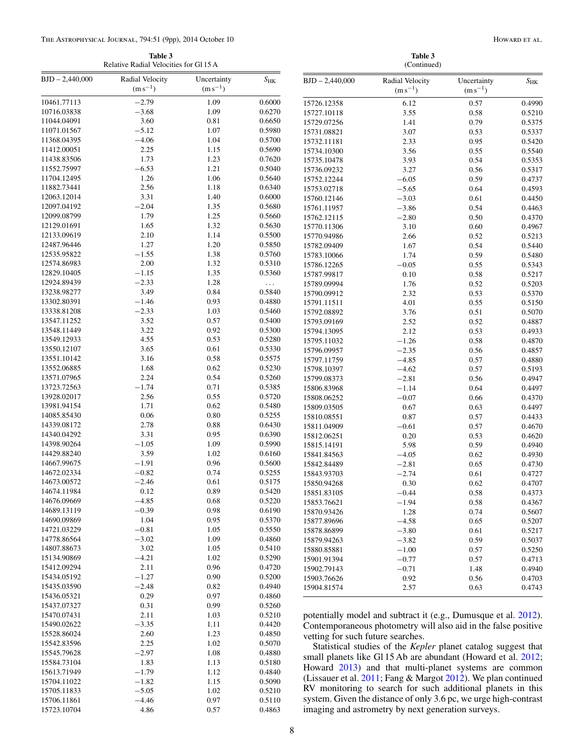#### <span id="page-9-0"></span>The Astrophysical Journal, 794:51 (9pp), 2014 October 10 Howard et al. (1989) Howard Et al.

15584.73104

15723.10704

15528.86024 2.60 1.23 0.4850 15542.83596 2.25 1.02 0.5070 15545.79628 −2.97 1.08 0.4880<br>15584.73104 1.83 1.13 0.5180

15613.71949 −1.79 1.12 0.4840<br>15704.11022 −1.82 1.15 0.5090 15704.11022 −1.82 1.15 0.5090<br>15705.11833 −5.05 1.02 0.5210 15705.11833 −5.05 1.02 0.5210<br>15706.11861 −4.46 0.97 0.5110 15706.11861 −4.46 0.97 0.5110<br>15723.10704 4.86 0.57 0.4863

**Table 3** Relative Radial Velocities for Gl 15 A

**Table 3**

| Relative Radial Velocities for Gl 15 A |                                 |                             | (Continued)  |                                                                |                                                                 |                             |              |  |  |
|----------------------------------------|---------------------------------|-----------------------------|--------------|----------------------------------------------------------------|-----------------------------------------------------------------|-----------------------------|--------------|--|--|
| $BJD - 2,440,000$                      | Radial Velocity<br>$(m s^{-1})$ | Uncertainty<br>$(m s^{-1})$ | $S_{\rm HK}$ | $BJD - 2,440,000$                                              | Radial Velocity<br>$(m s^{-1})$                                 | Uncertainty<br>$(m s^{-1})$ | $S_{\rm HK}$ |  |  |
| 10461.77113                            | $-2.79$                         | 1.09                        | 0.6000       | 15726.12358                                                    | 6.12                                                            | 0.57                        | 0.4990       |  |  |
| 10716.03838                            | $-3.68$                         | 1.09                        | 0.6270       | 15727.10118                                                    | 3.55                                                            | 0.58                        | 0.5210       |  |  |
| 11044.04091                            | 3.60                            | 0.81                        | 0.6650       | 15729.07256                                                    | 1.41                                                            | 0.79                        | 0.5375       |  |  |
| 11071.01567                            | $-5.12$                         | 1.07                        | 0.5980       | 15731.08821                                                    | 3.07                                                            | 0.53                        | 0.5337       |  |  |
| 11368.04395                            | $-4.06$                         | 1.04                        | 0.5700       | 15732.11181                                                    | 2.33                                                            | 0.95                        | 0.5420       |  |  |
| 11412.00051                            | 2.25                            | 1.15                        | 0.5690       | 15734.10300                                                    | 3.56                                                            | 0.55                        | 0.5540       |  |  |
| 11438.83506                            | 1.73                            | 1.23                        | 0.7620       | 15735.10478                                                    | 3.93                                                            | 0.54                        | 0.5353       |  |  |
| 11552.75997                            | $-6.53$                         | 1.21                        | 0.5040       | 15736.09232                                                    | 3.27                                                            | 0.56                        | 0.5317       |  |  |
| 11704.12495                            | 1.26                            | 1.06                        | 0.5640       | 15752.12244                                                    | $-6.05$                                                         | 0.59                        | 0.4737       |  |  |
| 11882.73441                            | 2.56                            | 1.18                        | 0.6340       | 15753.02718                                                    | $-5.65$                                                         | 0.64                        | 0.4593       |  |  |
| 12063.12014                            | 3.31                            | 1.40                        | 0.6000       | 15760.12146                                                    | $-3.03$                                                         | 0.61                        | 0.4450       |  |  |
| 12097.04192                            | $-2.04$                         | 1.35                        | 0.5680       | 15761.11957                                                    | $-3.86$                                                         | 0.54                        | 0.4463       |  |  |
| 12099.08799                            | 1.79                            | 1.25                        | 0.5660       | 15762.12115                                                    | $-2.80$                                                         | 0.50                        | 0.4370       |  |  |
| 12129.01691                            | 1.65                            | 1.32                        | 0.5630       | 15770.11306                                                    | 3.10                                                            | 0.60                        | 0.4967       |  |  |
| 12133.09619                            | 2.10                            | 1.14                        | 0.5500       | 15770.94986                                                    | 2.66                                                            | 0.52                        | 0.5213       |  |  |
| 12487.96446                            | 1.27                            | $1.20\,$                    | 0.5850       | 15782.09409                                                    | 1.67                                                            | 0.54                        | 0.5440       |  |  |
| 12535.95822                            | $-1.55$                         | 1.38                        | 0.5760       | 15783.10066                                                    | 1.74                                                            | 0.59                        | 0.5480       |  |  |
| 12574.86983                            | 2.00                            | 1.32                        | 0.5310       | 15786.12265                                                    | $-0.05$                                                         | 0.55                        | 0.5343       |  |  |
| 12829.10405                            | $-1.15$                         | 1.35                        | 0.5360       | 15787.99817                                                    | 0.10                                                            | 0.58                        | 0.5217       |  |  |
| 12924.89439                            | $-2.33$                         | 1.28                        | $\ldots$     | 15789.09994                                                    | 1.76                                                            | 0.52                        | 0.5203       |  |  |
| 13238.98277                            | 3.49                            | 0.84                        | 0.5840       | 15790.09912                                                    | 2.32                                                            | 0.53                        | 0.5370       |  |  |
| 13302.80391                            | $-1.46$                         | 0.93                        | 0.4880       | 15791.11511                                                    | 4.01                                                            | 0.55                        | 0.5150       |  |  |
| 13338.81208                            | $-2.33$                         | 1.03                        | 0.5460       | 15792.08892                                                    | 3.76                                                            |                             | 0.5070       |  |  |
| 13547.11252                            | 3.52                            | 0.57                        | 0.5400       | 15793.09169                                                    |                                                                 | 0.51                        |              |  |  |
| 13548.11449                            | 3.22                            | $\rm 0.92$                  | 0.5300       |                                                                | 2.52                                                            | 0.52                        | 0.4887       |  |  |
| 13549.12933                            | 4.55                            | 0.53                        | 0.5280       | 15794.13095                                                    | 2.12                                                            | 0.53                        | 0.4933       |  |  |
| 13550.12107                            | 3.65                            | 0.61                        | 0.5330       | 15795.11032                                                    | $-1.26$                                                         | 0.58                        | 0.4870       |  |  |
| 13551.10142                            | 3.16                            | 0.58                        | 0.5575       | 15796.09957                                                    | $-2.35$                                                         | 0.56                        | 0.4857       |  |  |
| 13552.06885                            | 1.68                            | 0.62                        | 0.5230       | 15797.11759                                                    | $-4.85$                                                         | 0.57                        | 0.4880       |  |  |
| 13571.07965                            | 2.24                            | 0.54                        | 0.5260       | 15798.10397                                                    | $-4.62$                                                         | 0.57                        | 0.5193       |  |  |
| 13723.72563                            | $-1.74$                         | 0.71                        | 0.5385       | 15799.08373                                                    | $-2.81$                                                         | 0.56                        | 0.4947       |  |  |
| 13928.02017                            | 2.56                            | 0.55                        | 0.5720       | 15806.83968                                                    | $-1.14$                                                         | 0.64                        | 0.4497       |  |  |
| 13981.94154                            | 1.71                            | 0.62                        | 0.5480       | 15808.06252                                                    | $-0.07$                                                         | 0.66                        | 0.4370       |  |  |
| 14085.85430                            | 0.06                            | $0.80\,$                    | 0.5255       | 15809.03505                                                    | 0.67                                                            | 0.63                        | 0.4497       |  |  |
|                                        | 2.78                            |                             | 0.6430       | 15810.08551                                                    | 0.87                                                            | 0.57                        | 0.4433       |  |  |
| 14339.08172<br>14340.04292             |                                 | 0.88                        |              | 15811.04909                                                    | $-0.61$                                                         | 0.57                        | 0.4670       |  |  |
|                                        | 3.31                            | 0.95                        | 0.6390       | 15812.06251                                                    | 0.20                                                            | 0.53                        | 0.4620       |  |  |
| 14398.90264                            | $-1.05$                         | 1.09                        | 0.5990       | 15815.14191                                                    | 5.98                                                            | 0.59                        | 0.4940       |  |  |
| 14429.88240                            | 3.59                            | 1.02                        | 0.6160       | 15841.84563                                                    | $-4.05$                                                         | 0.62                        | 0.4930       |  |  |
| 14667.99675                            | $-1.91$                         | 0.96                        | 0.5600       | 15842.84489                                                    | $-2.81$                                                         | 0.65                        | 0.4730       |  |  |
| 14672.02334                            | $-0.82$                         | 0.74                        | 0.5255       | 15843.93703                                                    | $-2.74$                                                         | 0.61                        | 0.4727       |  |  |
| 14673.00572                            | $-2.46$                         | 0.61                        | 0.5175       | 15850.94268                                                    | 0.30                                                            | 0.62                        | 0.4707       |  |  |
| 14674.11984                            | 0.12                            | 0.89                        | 0.5420       | 15851.83105                                                    | $-0.44$                                                         | 0.58                        | 0.4373       |  |  |
| 14676.09669                            | $-4.85$                         | 0.68                        | 0.5220       | 15853.76621                                                    | $-1.94$                                                         | 0.58                        | 0.4367       |  |  |
| 14689.13119                            | $-0.39$                         | 0.98                        | 0.6190       | 15870.93426                                                    | 1.28                                                            | 0.74                        | 0.5607       |  |  |
| 14690.09869                            | 1.04                            | 0.95                        | 0.5370       | 15877.89696                                                    | $-4.58$                                                         | 0.65                        | 0.5207       |  |  |
| 14721.03229                            | $-0.81$                         | 1.05                        | 0.5550       | 15878.86899                                                    | $-3.80$                                                         | 0.61                        | 0.5217       |  |  |
| 14778.86564                            | $-3.02$                         | 1.09                        | 0.4860       | 15879.94263                                                    | $-3.82$                                                         | 0.59                        | 0.5037       |  |  |
| 14807.88673                            | 3.02                            | 1.05                        | 0.5410       | 15880.85881                                                    | $-1.00$                                                         | 0.57                        | 0.5250       |  |  |
| 15134.90869                            | $-4.21$                         | 1.02                        | 0.5290       | 15901.91394                                                    | $-0.77$                                                         | 0.57                        | 0.4713       |  |  |
| 15412.09294                            | 2.11                            | 0.96                        | 0.4720       | 15902.79143                                                    | $-0.71$                                                         | 1.48                        | 0.4940       |  |  |
| 15434.05192                            | $-1.27$                         | 0.90                        | 0.5200       | 15903.76626                                                    | 0.92                                                            | 0.56                        | 0.4703       |  |  |
| 15435.03590                            | $-2.48$                         | $0.82\,$                    | 0.4940       | 15904.81574                                                    | 2.57                                                            | 0.63                        | 0.4743       |  |  |
| 15436.05321                            | 0.29                            | 0.97                        | 0.4860       |                                                                |                                                                 |                             |              |  |  |
| 15437.07327                            | 0.31                            | 0.99                        | 0.5260       |                                                                |                                                                 |                             |              |  |  |
| 15470.07431                            | 2.11                            | 1.03                        | 0.5210       |                                                                | potentially model and subtract it (e.g., Dumusque et al. 2012). |                             |              |  |  |
| 15490.02622                            | $-3.35$                         | 1.11                        | 0.4420       | Contemporaneous photometry will also aid in the false positive |                                                                 |                             |              |  |  |

Contemporaneous photometry will also aid in the false positive vetting for such future searches.

Statistical studies of the *Kepler* planet catalog suggest that small planets like Gl 15 Ab are abundant (Howard et al. [2012;](#page-10-0) Howard [2013\)](#page-10-0) and that multi-planet systems are common (Lissauer et al. [2011;](#page-10-0) Fang & Margot [2012\)](#page-10-0). We plan continued RV monitoring to search for such additional planets in this system. Given the distance of only 3.6 pc, we urge high-contrast imaging and astrometry by next generation surveys.